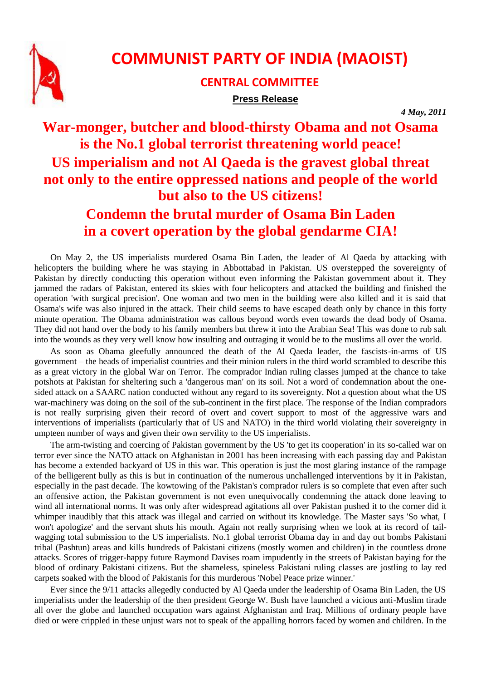

## **COMMUNIST PARTY OF INDIA (MAOIST)**

## **CENTRAL COMMITTEE Press Release**

*4 May, 2011*

## **War-monger, butcher and blood-thirsty Obama and not Osama is the No.1 global terrorist threatening world peace! US imperialism and not Al Qaeda is the gravest global threat not only to the entire oppressed nations and people of the world but also to the US citizens! Condemn the brutal murder of Osama Bin Laden in a covert operation by the global gendarme CIA!**

On May 2, the US imperialists murdered Osama Bin Laden, the leader of Al Qaeda by attacking with helicopters the building where he was staying in Abbottabad in Pakistan. US overstepped the sovereignty of Pakistan by directly conducting this operation without even informing the Pakistan government about it. They jammed the radars of Pakistan, entered its skies with four helicopters and attacked the building and finished the operation 'with surgical precision'. One woman and two men in the building were also killed and it is said that Osama's wife was also injured in the attack. Their child seems to have escaped death only by chance in this forty minute operation. The Obama administration was callous beyond words even towards the dead body of Osama. They did not hand over the body to his family members but threw it into the Arabian Sea! This was done to rub salt into the wounds as they very well know how insulting and outraging it would be to the muslims all over the world.

As soon as Obama gleefully announced the death of the Al Qaeda leader, the fascists-in-arms of US government – the heads of imperialist countries and their minion rulers in the third world scrambled to describe this as a great victory in the global War on Terror. The comprador Indian ruling classes jumped at the chance to take potshots at Pakistan for sheltering such a 'dangerous man' on its soil. Not a word of condemnation about the onesided attack on a SAARC nation conducted without any regard to its sovereignty. Not a question about what the US war-machinery was doing on the soil of the sub-continent in the first place. The response of the Indian compradors is not really surprising given their record of overt and covert support to most of the aggressive wars and interventions of imperialists (particularly that of US and NATO) in the third world violating their sovereignty in umpteen number of ways and given their own servility to the US imperialists.

The arm-twisting and coercing of Pakistan government by the US 'to get its cooperation' in its so-called war on terror ever since the NATO attack on Afghanistan in 2001 has been increasing with each passing day and Pakistan has become a extended backyard of US in this war. This operation is just the most glaring instance of the rampage of the belligerent bully as this is but in continuation of the numerous unchallenged interventions by it in Pakistan, especially in the past decade. The kowtowing of the Pakistan's comprador rulers is so complete that even after such an offensive action, the Pakistan government is not even unequivocally condemning the attack done leaving to wind all international norms. It was only after widespread agitations all over Pakistan pushed it to the corner did it whimper inaudibly that this attack was illegal and carried on without its knowledge. The Master says 'So what, I won't apologize' and the servant shuts his mouth. Again not really surprising when we look at its record of tailwagging total submission to the US imperialists. No.1 global terrorist Obama day in and day out bombs Pakistani tribal (Pashtun) areas and kills hundreds of Pakistani citizens (mostly women and children) in the countless drone attacks. Scores of trigger-happy future Raymond Davises roam impudently in the streets of Pakistan baying for the blood of ordinary Pakistani citizens. But the shameless, spineless Pakistani ruling classes are jostling to lay red carpets soaked with the blood of Pakistanis for this murderous 'Nobel Peace prize winner.'

Ever since the 9/11 attacks allegedly conducted by Al Qaeda under the leadership of Osama Bin Laden, the US imperialists under the leadership of the then president George W. Bush have launched a vicious anti-Muslim tirade all over the globe and launched occupation wars against Afghanistan and Iraq. Millions of ordinary people have died or were crippled in these unjust wars not to speak of the appalling horrors faced by women and children. In the